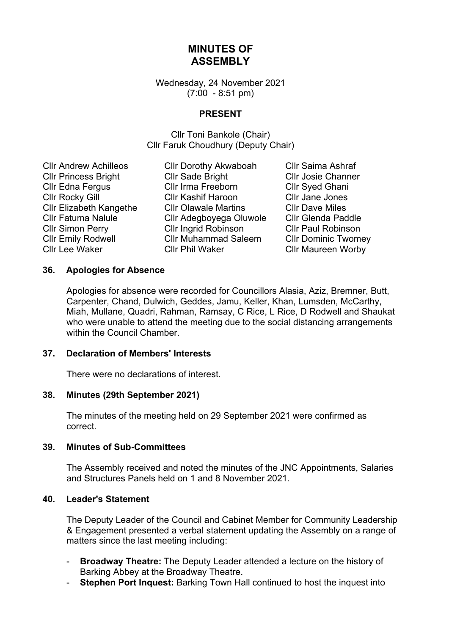# **MINUTES OF ASSEMBLY**

Wednesday, 24 November 2021 (7:00 - 8:51 pm)

### **PRESENT**

Cllr Toni Bankole (Chair) Cllr Faruk Choudhury (Deputy Chair)

Cllr Andrew Achilleos Cllr Dorothy Akwaboah Cllr Saima Ashraf

Cllr Princess Bright Cllr Sade Bright Cllr Josie Channer Cllr Edna Fergus Cllr Irma Freeborn Cllr Syed Ghani Cllr Rocky Gill Cllr Kashif Haroon Cllr Jane Jones Cllr Elizabeth Kangethe Cllr Olawale Martins Cllr Dave Miles Cllr Fatuma Nalule Cllr Adegboyega Oluwole Cllr Glenda Paddle Cllr Simon Perry Cllr Ingrid Robinson Cllr Paul Robinson Cllr Emily Rodwell Cllr Muhammad Saleem Cllr Dominic Twomey Cllr Lee Waker Cllr Phil Waker Cllr Maureen Worby

### **36. Apologies for Absence**

Apologies for absence were recorded for Councillors Alasia, Aziz, Bremner, Butt, Carpenter, Chand, Dulwich, Geddes, Jamu, Keller, Khan, Lumsden, McCarthy, Miah, Mullane, Quadri, Rahman, Ramsay, C Rice, L Rice, D Rodwell and Shaukat who were unable to attend the meeting due to the social distancing arrangements within the Council Chamber.

### **37. Declaration of Members' Interests**

There were no declarations of interest.

#### **38. Minutes (29th September 2021)**

The minutes of the meeting held on 29 September 2021 were confirmed as correct.

### **39. Minutes of Sub-Committees**

The Assembly received and noted the minutes of the JNC Appointments, Salaries and Structures Panels held on 1 and 8 November 2021.

#### **40. Leader's Statement**

The Deputy Leader of the Council and Cabinet Member for Community Leadership & Engagement presented a verbal statement updating the Assembly on a range of matters since the last meeting including:

- **Broadway Theatre:** The Deputy Leader attended a lecture on the history of Barking Abbey at the Broadway Theatre.
- **Stephen Port Inquest:** Barking Town Hall continued to host the inquest into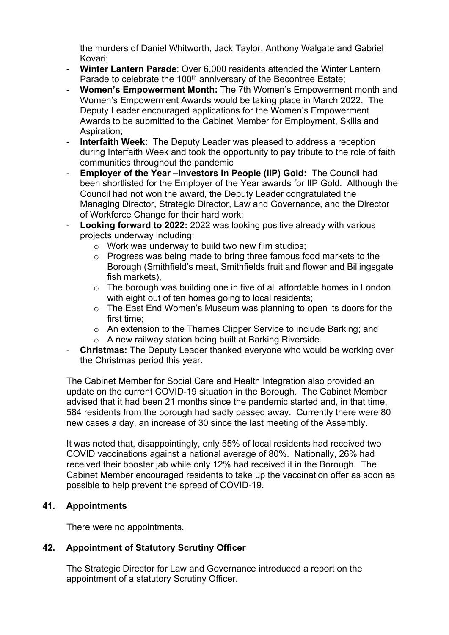the murders of Daniel Whitworth, Jack Taylor, Anthony Walgate and Gabriel Kovari;

- **Winter Lantern Parade**: Over 6,000 residents attended the Winter Lantern Parade to celebrate the 100<sup>th</sup> anniversary of the Becontree Estate:
- **Women's Empowerment Month:** The 7th Women's Empowerment month and Women's Empowerment Awards would be taking place in March 2022. The Deputy Leader encouraged applications for the Women's Empowerment Awards to be submitted to the Cabinet Member for Employment, Skills and Aspiration;
- **Interfaith Week:** The Deputy Leader was pleased to address a reception during Interfaith Week and took the opportunity to pay tribute to the role of faith communities throughout the pandemic
- **Employer of the Year –Investors in People (IIP) Gold:** The Council had been shortlisted for the Employer of the Year awards for IIP Gold. Although the Council had not won the award, the Deputy Leader congratulated the Managing Director, Strategic Director, Law and Governance, and the Director of Workforce Change for their hard work;
- **Looking forward to 2022:** 2022 was looking positive already with various projects underway including:
	- $\sim$  Work was underway to build two new film studios:
	- o Progress was being made to bring three famous food markets to the Borough (Smithfield's meat, Smithfields fruit and flower and Billingsgate fish markets).
	- $\circ$  The borough was building one in five of all affordable homes in London with eight out of ten homes going to local residents;
	- o The East End Women's Museum was planning to open its doors for the first time;
	- o An extension to the Thames Clipper Service to include Barking; and
	- o A new railway station being built at Barking Riverside.
- **Christmas:** The Deputy Leader thanked everyone who would be working over the Christmas period this year.

The Cabinet Member for Social Care and Health Integration also provided an update on the current COVID-19 situation in the Borough. The Cabinet Member advised that it had been 21 months since the pandemic started and, in that time, 584 residents from the borough had sadly passed away. Currently there were 80 new cases a day, an increase of 30 since the last meeting of the Assembly.

It was noted that, disappointingly, only 55% of local residents had received two COVID vaccinations against a national average of 80%. Nationally, 26% had received their booster jab while only 12% had received it in the Borough. The Cabinet Member encouraged residents to take up the vaccination offer as soon as possible to help prevent the spread of COVID-19.

# **41. Appointments**

There were no appointments.

# **42. Appointment of Statutory Scrutiny Officer**

The Strategic Director for Law and Governance introduced a report on the appointment of a statutory Scrutiny Officer.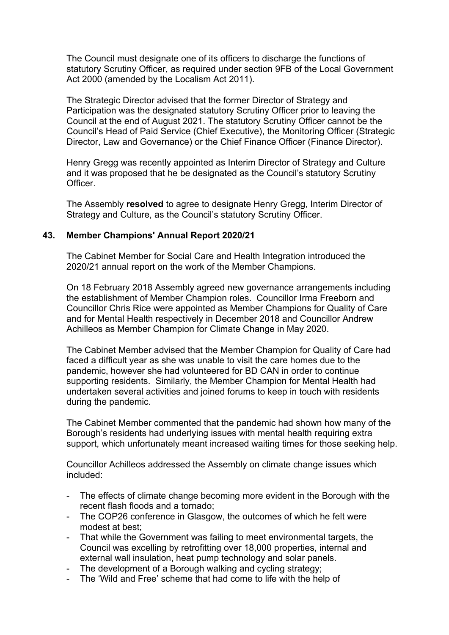The Council must designate one of its officers to discharge the functions of statutory Scrutiny Officer, as required under section 9FB of the Local Government Act 2000 (amended by the Localism Act 2011).

The Strategic Director advised that the former Director of Strategy and Participation was the designated statutory Scrutiny Officer prior to leaving the Council at the end of August 2021. The statutory Scrutiny Officer cannot be the Council's Head of Paid Service (Chief Executive), the Monitoring Officer (Strategic Director, Law and Governance) or the Chief Finance Officer (Finance Director).

Henry Gregg was recently appointed as Interim Director of Strategy and Culture and it was proposed that he be designated as the Council's statutory Scrutiny **Officer** 

The Assembly **resolved** to agree to designate Henry Gregg, Interim Director of Strategy and Culture, as the Council's statutory Scrutiny Officer.

### **43. Member Champions' Annual Report 2020/21**

The Cabinet Member for Social Care and Health Integration introduced the 2020/21 annual report on the work of the Member Champions.

On 18 February 2018 Assembly agreed new governance arrangements including the establishment of Member Champion roles. Councillor Irma Freeborn and Councillor Chris Rice were appointed as Member Champions for Quality of Care and for Mental Health respectively in December 2018 and Councillor Andrew Achilleos as Member Champion for Climate Change in May 2020.

The Cabinet Member advised that the Member Champion for Quality of Care had faced a difficult year as she was unable to visit the care homes due to the pandemic, however she had volunteered for BD CAN in order to continue supporting residents. Similarly, the Member Champion for Mental Health had undertaken several activities and joined forums to keep in touch with residents during the pandemic.

The Cabinet Member commented that the pandemic had shown how many of the Borough's residents had underlying issues with mental health requiring extra support, which unfortunately meant increased waiting times for those seeking help.

Councillor Achilleos addressed the Assembly on climate change issues which included:

- The effects of climate change becoming more evident in the Borough with the recent flash floods and a tornado;
- The COP26 conference in Glasgow, the outcomes of which he felt were modest at best;
- That while the Government was failing to meet environmental targets, the Council was excelling by retrofitting over 18,000 properties, internal and external wall insulation, heat pump technology and solar panels.
- The development of a Borough walking and cycling strategy;
- The 'Wild and Free' scheme that had come to life with the help of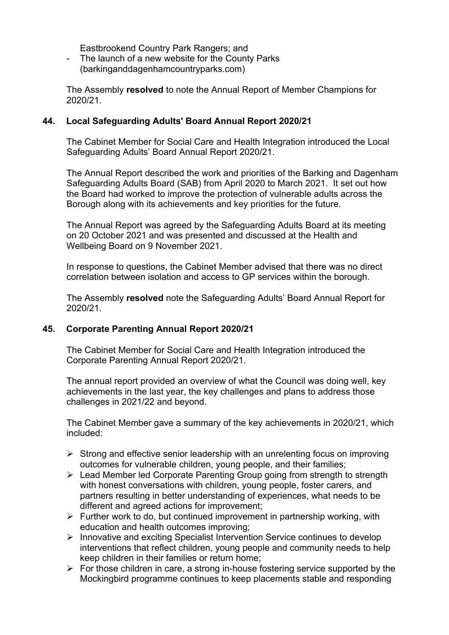Eastbrookend Country Park Rangers; and

- The launch of a new website for the County Parks (barkinganddagenhamcountryparks.com)

The Assembly **resolved** to note the Annual Report of Member Champions for 2020/21.

### **44. Local Safeguarding Adults' Board Annual Report 2020/21**

The Cabinet Member for Social Care and Health Integration introduced the Local Safeguarding Adults' Board Annual Report 2020/21.

The Annual Report described the work and priorities of the Barking and Dagenham Safeguarding Adults Board (SAB) from April 2020 to March 2021. It set out how the Board had worked to improve the protection of vulnerable adults across the Borough along with its achievements and key priorities for the future.

The Annual Report was agreed by the Safeguarding Adults Board at its meeting on 20 October 2021 and was presented and discussed at the Health and Wellbeing Board on 9 November 2021.

In response to questions, the Cabinet Member advised that there was no direct correlation between isolation and access to GP services within the borough.

The Assembly **resolved** note the Safeguarding Adults' Board Annual Report for 2020/21.

# **45. Corporate Parenting Annual Report 2020/21**

The Cabinet Member for Social Care and Health Integration introduced the Corporate Parenting Annual Report 2020/21.

The annual report provided an overview of what the Council was doing well, key achievements in the last year, the key challenges and plans to address those challenges in 2021/22 and beyond.

The Cabinet Member gave a summary of the key achievements in 2020/21, which included:

- $\triangleright$  Strong and effective senior leadership with an unrelenting focus on improving outcomes for vulnerable children, young people, and their families;
- Lead Member led Corporate Parenting Group going from strength to strength with honest conversations with children, young people, foster carers, and partners resulting in better understanding of experiences, what needs to be different and agreed actions for improvement;
- $\triangleright$  Further work to do, but continued improvement in partnership working, with education and health outcomes improving;
- $\triangleright$  Innovative and exciting Specialist Intervention Service continues to develop interventions that reflect children, young people and community needs to help keep children in their families or return home;
- $\triangleright$  For those children in care, a strong in-house fostering service supported by the Mockingbird programme continues to keep placements stable and responding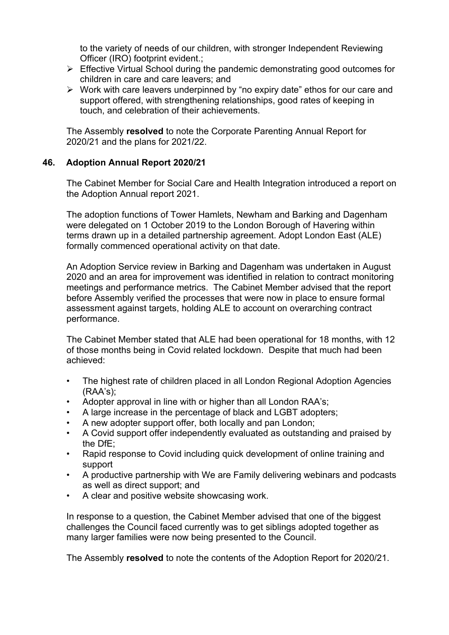to the variety of needs of our children, with stronger Independent Reviewing Officer (IRO) footprint evident.;

- $\triangleright$  Effective Virtual School during the pandemic demonstrating good outcomes for children in care and care leavers; and
- $\triangleright$  Work with care leavers underpinned by "no expiry date" ethos for our care and support offered, with strengthening relationships, good rates of keeping in touch, and celebration of their achievements.

The Assembly **resolved** to note the Corporate Parenting Annual Report for 2020/21 and the plans for 2021/22.

### **46. Adoption Annual Report 2020/21**

The Cabinet Member for Social Care and Health Integration introduced a report on the Adoption Annual report 2021.

The adoption functions of Tower Hamlets, Newham and Barking and Dagenham were delegated on 1 October 2019 to the London Borough of Havering within terms drawn up in a detailed partnership agreement. Adopt London East (ALE) formally commenced operational activity on that date.

An Adoption Service review in Barking and Dagenham was undertaken in August 2020 and an area for improvement was identified in relation to contract monitoring meetings and performance metrics. The Cabinet Member advised that the report before Assembly verified the processes that were now in place to ensure formal assessment against targets, holding ALE to account on overarching contract performance.

The Cabinet Member stated that ALE had been operational for 18 months, with 12 of those months being in Covid related lockdown. Despite that much had been achieved:

- The highest rate of children placed in all London Regional Adoption Agencies (RAA's);
- Adopter approval in line with or higher than all London RAA's;
- A large increase in the percentage of black and LGBT adopters;
- A new adopter support offer, both locally and pan London;
- A Covid support offer independently evaluated as outstanding and praised by the DfE;
- Rapid response to Covid including quick development of online training and support
- A productive partnership with We are Family delivering webinars and podcasts as well as direct support; and
- A clear and positive website showcasing work.

In response to a question, the Cabinet Member advised that one of the biggest challenges the Council faced currently was to get siblings adopted together as many larger families were now being presented to the Council.

The Assembly **resolved** to note the contents of the Adoption Report for 2020/21.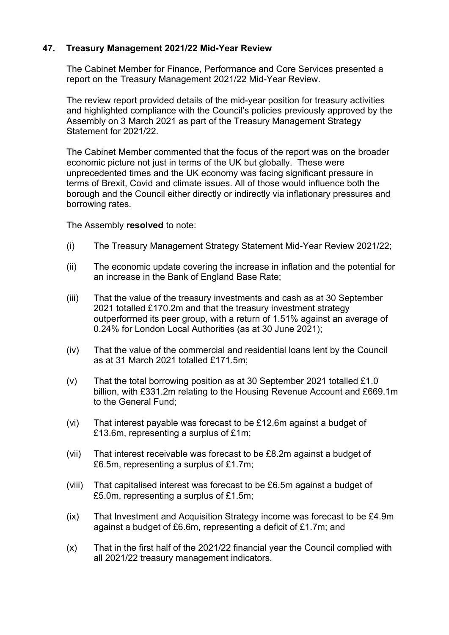### **47. Treasury Management 2021/22 Mid-Year Review**

The Cabinet Member for Finance, Performance and Core Services presented a report on the Treasury Management 2021/22 Mid-Year Review.

The review report provided details of the mid-year position for treasury activities and highlighted compliance with the Council's policies previously approved by the Assembly on 3 March 2021 as part of the Treasury Management Strategy Statement for 2021/22.

The Cabinet Member commented that the focus of the report was on the broader economic picture not just in terms of the UK but globally. These were unprecedented times and the UK economy was facing significant pressure in terms of Brexit, Covid and climate issues. All of those would influence both the borough and the Council either directly or indirectly via inflationary pressures and borrowing rates.

The Assembly **resolved** to note:

- (i) The Treasury Management Strategy Statement Mid-Year Review 2021/22;
- (ii) The economic update covering the increase in inflation and the potential for an increase in the Bank of England Base Rate;
- (iii) That the value of the treasury investments and cash as at 30 September 2021 totalled £170.2m and that the treasury investment strategy outperformed its peer group, with a return of 1.51% against an average of 0.24% for London Local Authorities (as at 30 June 2021);
- (iv) That the value of the commercial and residential loans lent by the Council as at 31 March 2021 totalled £171.5m;
- (v) That the total borrowing position as at 30 September 2021 totalled £1.0 billion, with £331.2m relating to the Housing Revenue Account and £669.1m to the General Fund;
- (vi) That interest payable was forecast to be £12.6m against a budget of £13.6m, representing a surplus of £1m;
- (vii) That interest receivable was forecast to be £8.2m against a budget of £6.5m, representing a surplus of £1.7m;
- (viii) That capitalised interest was forecast to be £6.5m against a budget of £5.0m, representing a surplus of £1.5m;
- (ix) That Investment and Acquisition Strategy income was forecast to be £4.9m against a budget of £6.6m, representing a deficit of £1.7m; and
- (x) That in the first half of the 2021/22 financial year the Council complied with all 2021/22 treasury management indicators.